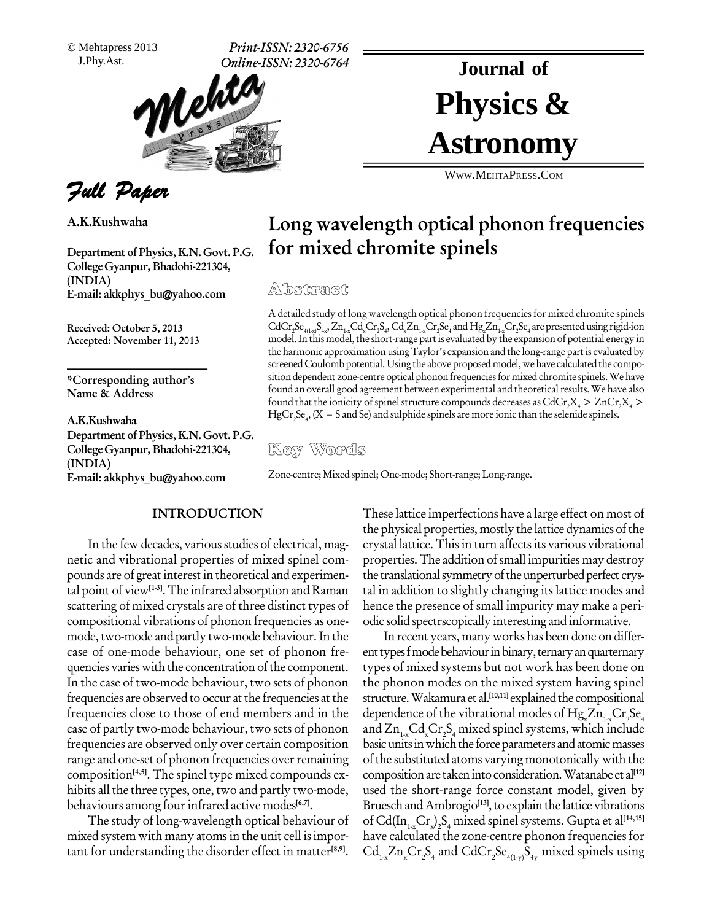Mehtapress 2013

J.Phy.Ast. **Print-ISSN: 2320-6756 Online-ISSN: 2320-6764**



Full Paper

**A.K.Kushwaha**

**Department ofPhysics, K.N.Govt.P.G. College Gyanpur,Bhadohi-221304, (INDIA) E-mail: [akkphys\\_bu@yahoo.com](mailto:akkphys_bu@yahoo.com)**

**Received: October 5, 2013 Accepted: November 11, 2013**

**\*Corresponding authorís Name & Address**

**A.K.Kushwaha Department of Physics, K.N. Govt. P.G.<br>College Gyanpur, Bhadohi-221304, Key Words College Gyanpur,Bhadohi-221304, (INDIA) E-mail: [akkphys\\_bu@yahoo.com](mailto:akkphys_bu@yahoo.com)**

# Physics & **Journal of Astronomy**

WWW.M[EHTA](http://WWW.MEHTAPRESS.COM)PRESS.COM

## **Long wavelength optical phonon frequencies for mixed chromite spinels**

A detailed study of long wavelength optical phonon frequencies for mixed chromite spinels  $\rm CdCr_2Se_{4(1-x)}S_{4x'}Zn_{1-x}Cd_xCr_2S_4, Cd_xZn_{1-x}Cr_2Se_4$  and  $\rm Hg_xZn_{1-x}Cr_2Se_4$  are premodel. In this model, the short-range part is evaluated by the expansion of potential energy in the harmonic approximation using Taylor's expansion and the long-range part is evaluated by screened Coulomb potential. Using the above proposed model, we have calculated the composition dependent zone-centre optical phonon frequencies for mixed chromite spinels. We have found an overall good agreement between e sition dependent zone-centre optical phononfrequenciesfor mixed chromite spinels.We have found an overall good agreement between experimental and theoretical results. We have also found that the ionicity of spinel structure compounds decreases as  $\mathrm{CdCr}_{2}\mathrm{X}_{_{4}}>\mathrm{ZnCr}_{2}\mathrm{X}_{_{4}}$   $>$  $HgCr_2Se_4$ ,  $(X = S \text{ and } Se)$  and sulphide spinels are more ionic than the selenide spinels.

Zone-centre; Mixed spinel; One-mode; Short-range; Long-range.

#### **INTRODUCTION**

In the few decades, various studies of electrical, magnetic and vibrational properties of mixed spinel com pounds are of great interest in theoretical and experimental point of view**[1-3]**.The infrared absorption and Raman scattering of mixed crystals are of three distinct types of compositional vibrations of phonon frequencies as one mode, two-mode and partly two-mode behaviour. In the case of one-mode behaviour, one set of phonon fre quencies varies with the concentration of the component. In the case of two-mode behaviour, two sets of phonon frequencies are observed to occur at the frequencies at the frequencies close to those of end members and in the case of partly two-mode behaviour, two sets of phonon frequencies are observed only over certain composition range and one-set of phonon frequencies over remaining composition **[4,5]**. The spinel type mixed compounds ex hibits all the three types, one, two and partly two-mode, behaviours among fourinfrared active modes **[6,7]**.

The study of long-wavelength optical behaviour of mixed system with many atomsin the unit cell isimpor tant for understanding the disorder effect in matter **[8,9]**.

These lattice imperfections have a large effect on most of the physical properties, mostly the lattice dynamics of the crystal lattice. Thisin turn affectsits various vibrational properties.The addition ofsmall impurities may destroy the translational symmetry of the unperturbed perfect crystal in addition to slightly changing its lattice modes and hence the presence of small impurity may make a peri odic solid spectrscopically interesting and informative.

In recent years, manyworks has been done on differ ent types f mode behaviour in binary, ternary an quarternary types of mixed systems but not work hasbeen done on the phonon modes on the mixed system having spinel structure.Wakamura et al. **[10,11]** explainedthe compositional dependence of the vibrational modes of  ${ {\rm Hg}_{{\rm x}}}{\rm Zn}_{_{1\rm x}}{\rm Cr}_{_{2}}{\rm Se}_{_{4}}$ and  $Zn_{1x}Cd_xCr_2S_4$  mixed spinel systems, which include basic units in which the force parameters and atomic masses ofthe substituted atoms varying monotonically with the compositionare takenintoconsideration.Watanabe et al **[12]** used the short-range force constant model, given by Bruesch and Ambrogio<sup>[13]</sup>, to explain the lattice vibrations of Cd(In<sub>1-x</sub>Cr<sub>x</sub>)<sub>2</sub>S<sub>4</sub> mixed spinel systems. Gupta et al<sup>[14,15]</sup> have calculated the zone-centre phonon frequencies for  $\text{Cd}_{_{1\cdot\text{x}}} \text{Zn}_{_{\text{x}}}\text{Cr}_{_{2}}\text{S}_{_{4}}$  and  $\text{CdCr}_{_{2}}\text{Se}_{_{4(1\cdot\text{y})}}\text{S}_{_{4\text{y}}}$  mixed spinels using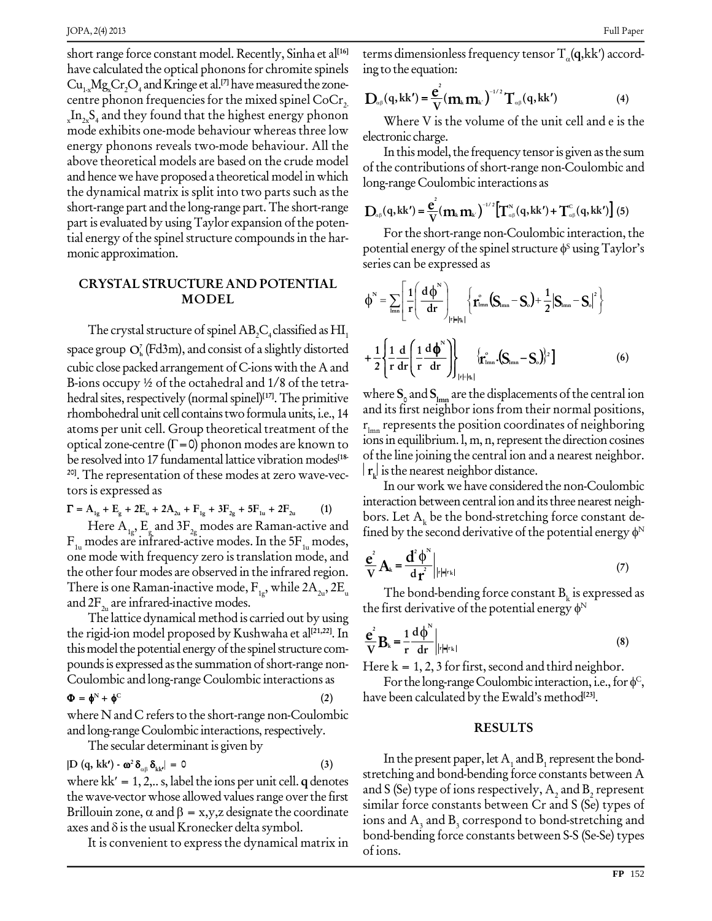short range force constant model. Recently, Sinha et al<sup>[16]</sup> t have calculated the optical phonons for chromite spinels  $Cu_{1x}Mg_xCr_2O_4$  and Kringe et al.<sup>[7]</sup> have measured the zonecentre phonon frequencies for the mixed spinel CoCr<sub>2</sub>.  $\quad$   $\mathbf{D}_\text{\tiny a}$  $\sum_{x} \text{In}_{2x} \text{S}_4$  and they found that the highest energy phonon mode exhibits one-mode behaviour whereas three low energy phonons reveals two-mode behaviour. All the above theoretical models are based on the crude model and hence we have proposed a theoretical model in which the dynamical matrix is split into two parts such as the short-range part and the long-range part.The short-range part is evaluated by using Taylor expansion of the potential energy of the spinel structure compounds in the harmonic approximation.

### **CRYSTAL STRUCTURE AND POTENTIAL MODEL**

The crystal structure of spinel  $AB_{1}C_{4}$  classified as  $HI_{1}$ space group  $O_h^r$  (Fd3m), and consist of a slightly distorted  $\begin{bmatrix} 1 & 1 \end{bmatrix}$ cubic close packed arrangement of C-ionswith the A and B-ions occupy ½ of the octahedral and 1/8 of the tetra hedral sites, respectively (normal spinel)<sup>[17]</sup>. The primitive where rhombohedral unit cell containstwoformulaunits, i.e., 14 atoms per unit cell. Group theoretical treatment of the optical zone-centre  $(\Gamma = 0)$  phonon modes are known to<br>be resolved into 17 fundamental lattice vibration modes<sup>[18</sup> of the line joining the central ion and a nearest neighbor. be resolved into 17 fundamental lattice vibration modes<sup>[18</sup>-**20]**. The representation of these modes at zero wave-vec tors is expressed as

$$
\Gamma = A_{1g} + E_{g} + 2E_{u} + 2A_{2u} + F_{1g} + 3F_{2g} + 5F_{1u} + 2F_{2u}
$$
 (1)

Here  $A_{1g}$ ,  $E_{g}$  and 3 $F_{2g}$  modes are Raman-active and fined b  $F_{1u}$  modes are infrared-active modes. In the 5 $F_{1u}$  modes, one mode with frequency zero is translation mode, and the other four modes are observed in the infrared region. There is one Raman-inactive mode,  $F_{1g}$ , while  $2A_{2u}$ ,  $2E_u$  T<br>and  $2F_{2u}$  are infrared-inactive modes.<br>The lattice dynamical method is carried out by using the fir

the rigid-ion model proposed by Kushwaha et al<sup>[21,22]</sup>. In  $e^2$ <sub>n</sub> this model the potential energy of the spinel structure compounds is expressed as the summation of short-range non-  $\rm{H}$ Fourth is defined as the summation of short range from  $\overline{1}$ <br>Coulombic and long-range Coulombic interactions as<br> $\Phi = \phi^N + \phi^C$  (2)

$$
\Phi = \phi^N + \phi^C \tag{2}
$$

where N and C refers to the short-range non-Coulombic and long-range Coulombic interactions, respectively. j

The secular determinant is given by  
\n
$$
|D (q, kk') - \omega^2 \delta_{\alpha\beta} \delta_{kk'}| = 0
$$
\n(3)

I he secular determinant is given by<br>  $|D(q, kk') - \omega^2 \delta_{\alpha\beta} \delta_{kk'}| = 0$  (3)<br>
where kk' = 1, 2,.. s, label the ions per unit cell. **q** denotes stre the wave-vector whose allowed values range over the first<br>Brillouin zone,  $\alpha$  and  $\beta = x, y, z$  designate the coordinate<br>axes and  $\delta$  is the usual Kronecker delta symbol. where kk' = 1, 2,.. s, label the ions per unit cell. **q** denotes<br>the wave-vector whose allowed values range over the first<br>Brillouin zone,  $\alpha$  and  $\beta = x, y, z$  designate the coordinate

It is convenient to express the dynamical matrix in

terms dimensionless frequency tensor <sup>T</sup>(**q**,kk) accord ing to the equation: **<sup>2</sup>**

ing to the equation:  
\n
$$
D_{\alpha\beta}(q, kk') = \frac{e^2}{V}(m_k m_k)^{-1/2}T_{\alpha\beta}(q, kk')
$$
\n(4)

Where V is the volume of the unit cell and e is the electronic charge.

In this model, the frequency tensor is given as the sum of the contributions of short-range non-Coulombic and

long-range Coulombic interactions as  
\n
$$
D_{\alpha\beta}(q, kk') = \frac{e^2}{V}(m_k m_k)^{-1/2} [T^N_{\alpha\beta}(q, kk') + T^C_{\alpha\beta}(q, kk')]
$$
 (5)

For the short-range non-Coulombic interaction, the potential energy ofthe spinelstructure <sup>S</sup> usingTaylorís series can be expressed as

series can be expressed as  
\n
$$
\phi^N = \sum_{nm} \left[ \frac{1}{r} \left( \frac{d\phi^N}{dr} \right)_{|r|=|q_k|} \left\{ \mathbf{r}_{nm}^{\circ} (\mathbf{S}_{nm} - \mathbf{S}_0) + \frac{1}{2} |\mathbf{S}_{nm} - \mathbf{S}_0|^2 \right\}
$$
\n
$$
\frac{1}{1} + \frac{1}{2} \left\{ \frac{1}{r} \frac{d}{dr} \left( \frac{1}{r} \frac{d\phi^N}{dr} \right) \right\}_{|r|=|q_k|} \left\{ \mathbf{r}_{nm}^{\circ} \cdot (\mathbf{S}_{nm} - \mathbf{S}_0)^2 \right\} \right]
$$
\n(6)

where  $S_0$  and  $S_{lmn}$  are the displacements of the central ion and its first neighbor ions from their normal positions, r lmn represents the position coordinates of neighboring ions in equilibrium. l, m, n, represent the direction cosines<br>of the line joining the central ion and a nearest neighbor.<br> $|\mathbf{r}_k|$  is the nearest neighbor distance.<br>In our work we have considered the non-Coulombic  $\mathbf{r}_{\mu}$  is the nearest neighbor distance.

interaction between central ion and its three nearest neighinteraction between central ion and its three nearest neighbors. Let  $A_k$  be the bond-stretching force constant defined by the second derivative of the potential energy  $\phi^N$ by the second derivative of the potential energy  $\phi^{\scriptscriptstyle\mathrm{N}}$  $\Delta_k$  be the bon<br>e second derivers<br> $\frac{\phi^N}{\sigma^2}\Big|_{|x|=r_k}$ 

$$
\frac{\mathbf{e}^2}{\mathbf{V}}\mathbf{A}_k = \frac{\mathbf{d}^2 \boldsymbol{\phi}^N}{\mathbf{d} \mathbf{r}^2}\bigg|_{|r| = |r_k|}
$$
 (7)

The bond-bending force constant  $B_k$  is expressed as  $V^{\bullet\bullet}$  d  $\mathbf{r}^{\bullet}$  || $\mathbf{r}^{\bullet}$ || $\mathbf{r}^{\bullet}$ || $\mathbf{r}^{\bullet}$ || $\mathbf{r}^{\bullet}$ || $\mathbf{r}^{\bullet}$ || $\mathbf{r}^{\bullet}$ || $\mathbf{r}^{\bullet}$ || $\mathbf{r}^{\bullet}$ || $\mathbf{r}^{\bullet}$ || $\mathbf{r}^{\bullet}$ || $\mathbf{r}^{\bullet}$ || $\mathbf{r}^{\bullet}$ || $\mathbf{r}^{\bullet}$ || $\mathbf{r}^{\bullet}$ st derivative of the potential energy  $\phi^{\scriptscriptstyle\mathrm{N}}$ n

$$
\frac{e^2}{V}B_k = \frac{1}{r} \frac{d\phi^N}{dr}\bigg|_{r| = |r_k|}
$$
 (8)

Here  $k = 1, 2, 3$  for first, second and third neighbor.

For the long-range Coulombic interaction, i.e., for  $\phi^C$ ,<br>For the long-range Coulombic interaction, i.e., for  $\phi^C$ , have been calculated by the Ewald's method<sup>[23]</sup>.

#### **RESULTS**

In the present paper, let  $A_1$  and  $B_1$  represent the bond-<br>stretching and bond-bending force constants between A and S (Se) type of ions respectively,  $A_2$  and B<sub>2</sub> represent similar force constants between Cr and S (Se) types of ions and  $A_3$  and  $B_4$  correspond to bond-stretching and bond-bending force constants between S-S (Se-Se) types of ions.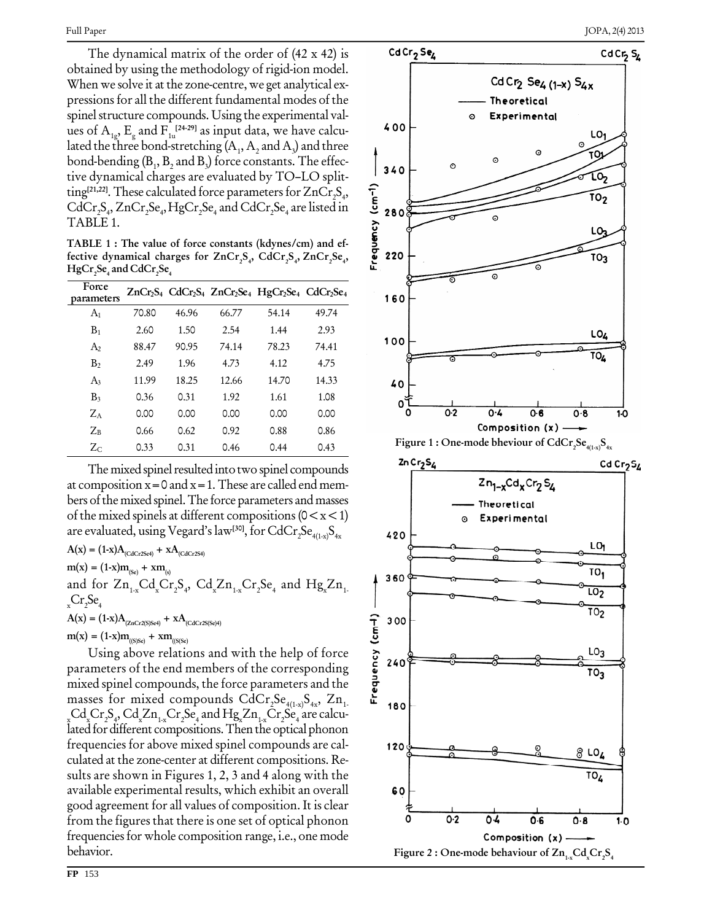The dynamical matrix of the order of (42 x 42) is obtained by using the methodology of rigid-ion model. When we solve it at the zone-centre, we get analytical ex pressions for all the different fundamental modes of the spinel structure compounds. Using the experimental values of  $A_{1g}$ ,  $E_{g}$  and  $F_{1u}^{[24\text{-}29]}$  as input data, we have calculated the three bond-stretching  $(A_1, A_2 \text{ and } A_3)$  and three bond-bending  $(B_1, B_2, A_1, B_2)$  force constants. The effec- $\frac{1}{2}$  and B<sub>3</sub> force constants. The effec-<br>tive dynamical charges are evaluated by TO–LO splitting<sup>[21,22]</sup>. These calculated force parameters for  $ZnCr_2S_4$ , CdCr<sub>2</sub>S<sub>4</sub>, ZnCr<sub>2</sub>Se<sub>4</sub>, HgCr<sub>2</sub>Se<sub>4</sub> and CdCr<sub>2</sub>Se<sub>4</sub> are listed in  $\frac{5}{28}$ TABLE 1.

**TABLE 1 : The value of force constants (kdynes/cm) and ef-**  $\mathbf{f}$  **fective** dynamical charges for  $\text{ZnCr}_{2}\text{S}_{4}$ ,  $\text{CdCr}_{2}\text{S}_{4}$ ,  $\text{ZnCr}_{2}\text{Se}_{4}$ , **HgCr <sup>2</sup>Se <sup>4</sup> and CdCr <sup>2</sup>Se 4**

| Force<br>parameters |       |       |       | $ZnCr_2S_4$ CdCr <sub>2</sub> S <sub>4</sub> $ZnCr_2Se_4$ HgCr <sub>2</sub> Se <sub>4</sub> CdCr <sub>2</sub> Se <sub>4</sub> |       |
|---------------------|-------|-------|-------|-------------------------------------------------------------------------------------------------------------------------------|-------|
| A <sub>1</sub>      | 70.80 | 46.96 | 66.77 | 54.14                                                                                                                         | 49.74 |
| $B_1$               | 2.60  | 1.50  | 2.54  | 1.44                                                                                                                          | 2.93  |
| A <sub>2</sub>      | 88.47 | 90.95 | 74.14 | 78.23                                                                                                                         | 74.41 |
| B <sub>2</sub>      | 2.49  | 1.96  | 4.73  | 4.12                                                                                                                          | 4.75  |
| $A_3$               | 11.99 | 18.25 | 12.66 | 14.70                                                                                                                         | 14.33 |
| B <sub>3</sub>      | 0.36  | 0.31  | 1.92  | 1.61                                                                                                                          | 1.08  |
| $Z_A$               | 0.00  | 0.00  | 0.00  | 0.00                                                                                                                          | 0.00  |
| $Z_B$               | 0.66  | 0.62  | 0.92  | 0.88                                                                                                                          | 0.86  |
| $Z_{C}$             | 0.33  | 0.31  | 0.46  | 0.44                                                                                                                          | 0.43  |

The mixed spinel resulted into two spinel compounds at composition  $x=0$  and  $x=1$ . These are called end members ofthe mixed spinel.The force parameters and masses of the mixed spinels at different compositions ( $0 < x < 1$ ) are evaluated, using Vegard's law<sup>[30]</sup>, for CdCr<sub>2</sub>Se<sub>4(1-x)</sub>S<sub>4x</sub>

 $\mathbf{A}(\mathbf{x}) = (1-\mathbf{x})\mathbf{A}_{(\text{CdCr2Set})} + \mathbf{x}\mathbf{A}_{(\text{CdCr2Set})}$  $m(x) = (1-x)m_{(s_0)} + xm_{(s)}$ and for  $\rm Zn_{_{1-x}}Cd_{_{x}}Cr_{2}S_{_{4}},\text{ }Cd_{_{x}}Zn_{_{1-x}}Cr_{2}Se_{_{4}}$  and  $\rm Hg_{_{x}}Zn_{_{1}}$  ${}_{\mathrm{x}}\mathrm{Cr}_2\mathrm{Se}_4$ 4  $A(x) = (1-x)A_{(ZnCr2(S)Se4)} + xA_{(CdCr2S(Se)4)}$  $m(x) = (1-x)m_{(S)Se} + xm_{(S(Se)}$ 

= (1-x) $A_{(ZnCr2(S)Set)}$  + x $A_{(CdCr2(S)Set)}$ <br>  $U\sin g$  above relations and with the help of force<br>
ameters of the end members of the corresponding<br>
ed spinel compounds, the force parameters and the<br>
ses for mixed compounds CdCr, S parameters of the end members of the corresponding mixed spinel compounds, the force parameters and the masses for mixed compounds  $\mathrm{CdCr}_2\mathrm{Se}_{_{4(1\mathrm{x})}}\mathrm{S}_{_{4\mathrm{x}}}, \ \mathrm{Zn}_{_1}$  $\text{Cd}_{\text{x}}\text{Cr}_{2}\text{S}_{4}$ ,  $\text{Cd}_{\text{x}}\text{Zn}_{1\text{-x}}\text{Cr}_{2}\text{Se}_{4}$  and  $\text{Hg}_{\text{x}}\text{Zn}_{1\text{-x}}\text{Cr}_{2}\text{Se}_{4}$  are calcu-<br>lated for different compositions. Then the optical phonon frequencies for above mixed spinel compounds are cal culated at the zone-center at different compositions. Re sults are shown in Figures 1, 2, 3 and 4 along with the available experimental results, which exhibit an overall good agreement for all values of composition. It is clear from the figures that there is one set of optical phonon frequenciesfor whole composition range, i.e., one mode behavior.

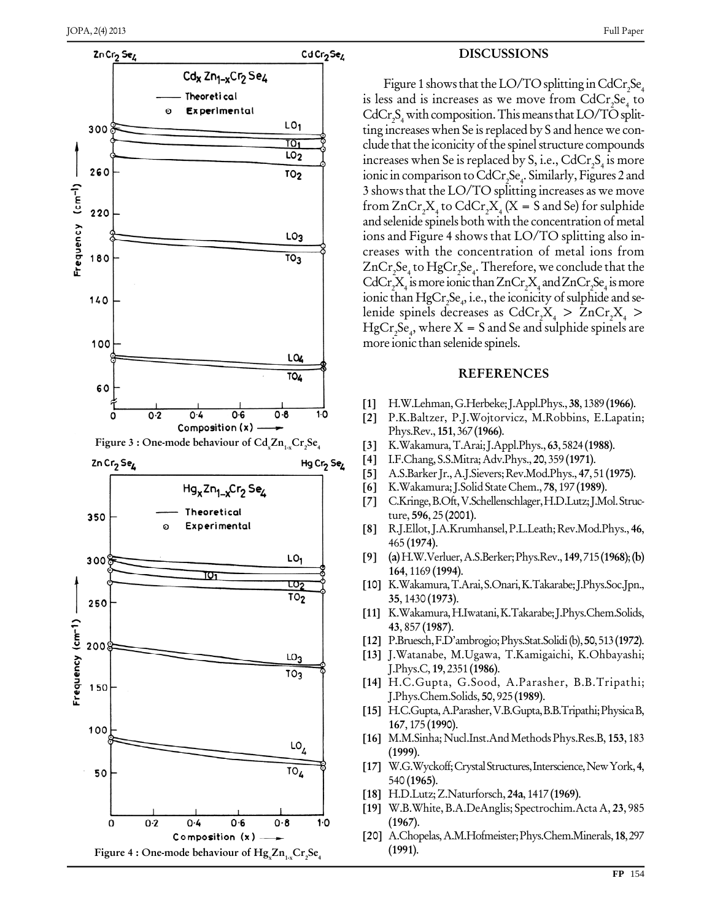

#### **DISCUSSIONS**

Figure 1 shows that the LO/TO splitting in CdCr<sub>2</sub>Se<sub>4</sub>  $\frac{1}{2}$  is less and is increases as we move from CdCr<sub>2</sub>Se<sub>4</sub> to  $CdCr_2S_4$  with composition. This means that LO/TO splitting increases when Se is replaced by S and hence we conclude that the iconicity of the spinel structure compounds increases when Se is replaced by S, i.e.,  $\mathrm{CdCr}_2\mathrm{S}_4$  is more ionic in comparison toCdCr <sup>2</sup>Se 4 . Similarly, Figures 2 and 3 showsthat the LO/TO splitting increases as we move from  $ZnCr_2X_4$  to  $CdCr_2X_4(X = S \text{ and } Se)$  for sulphide and selenide spinels both with the concentration of metal ions and Figure 4 shows that LO/TO splitting also in creases with the concentration of metal ions from ZnCr <sup>2</sup>Se <sup>4</sup> to HgCr <sup>2</sup>Se 4 . Therefore, we conclude that the  $\rm CdCr_2X_4$  is more ionic than  $\rm ZnCr_2X_4$  and  $\rm ZnCr_2Se_4$  is more ionic than  $HgCr_2Se_4$ , i.e., the iconicity of sulphide and selenide spinels decreases as  $CdCr_{2}X_{4} > ZnCr_{2}X_{4} >$  $HgCr_2Se_4$ , where  $X = S$  and Se and sulphide spinels are more ionic than selenide spinels.

#### **REFERENCES**

- **[1]** H.W.Lehman,G.Herbeke;J.Appl.Phys.,**38**,1389 **(1966)**.
- **[2]** P.K.Baltzer, P.J.Wojtorvicz, M.Robbins, E.Lapatin; Phys.Rev.,**151**,367 **(1966)**.
- **[3]** K.Wakamura,T.Arai;J.Appl.Phys.,**63**,5824 **(1988)**.
- **[4]** I.F.Chang, S.S.Mitra;Adv.Phys., **20**,359 **(1971)**.
- **[5]** A.S.BarkerJr.,A.J.Sievers;Rev.Mod.Phys., **47**,51 **(1975)**.
- **[6]** K.Wakamura;J.Solid StateChem., **78**,197 **(1989)**.
- **[7]** C.Kringe,B.Oft,V.Schellenschlager,H.D.Lutz;J.Mol.Struc ture, **596**, 25 **(2001)**.
- **[8]** R.J.Ellot,J.A.Krumhansel,P.L.Leath;Rev.Mod.Phys., **46**, 465 **(1974)**.
- **[9] (a)**H.W.Verluer,A.S.Berker;Phys.Rev.,**149**,715**(1968)**;**(b) 164**, 1169 **(1994)**.
- **[10]** K.Wakamura,T.Arai,S.Onari,K.Takarabe;J.Phys.Soc.Jpn., **35**, 1430 **(1973)**.
- **[11]** K.Wakamura,H.Iwatani,K.Takarabe;J.Phys.Chem.Solids, **43**, 857 **(1987)**.
- **[12]** P.Bruesch,F.Díambrogio;Phys.Stat.Solidi(b),**50**,513**(1972)**.
- **[13]** J.Watanabe, M.Ugawa, T.Kamigaichi, K.Ohbayashi; J.Phys.C, **19**, 2351 **(1986)**.
- **[14]** H.C.Gupta, G.Sood, A.Parasher, B.B.Tripathi; J.Phys.Chem.Solids, **50**, 925 **(1989)**.
- **[15]** H.C.Gupta,A.Parasher,V.B.Gupta,B.B.Tripathi;PhysicaB, **167**, 175 **(1990)**.
- **[16]** M.M.Sinha;Nucl.Inst.AndMethodsPhys.Res.B, **153**,183 **(1999)**.
- **[17]** W.G.Wyckoff;CrystalStructures,Interscience,NewYork,**4**, 540 **(1965)**.
- **[18]** H.D.Lutz;Z.Naturforsch, **24a**, 1417 **(1969)**.
- **[19]** W.B.White,B.A.DeAnglis; Spectrochim.Acta A, **23**, 985 **(1967)**.
- **[20]** A.Chopelas,A.M.Hofmeister;Phys.Chem.Minerals,**18**,297 **(1991)**.